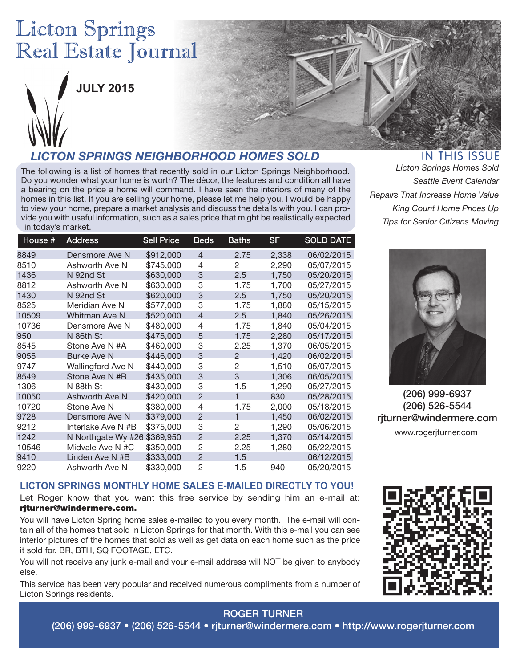# **Licton Springs** Real Estate Journal



**JULY 2015**

# *LICTON SPRINGS NEIGHBORHOOD HOMES SOLD*

The following is a list of homes that recently sold in our Licton Springs Neighborhood. Do you wonder what your home is worth? The décor, the features and condition all have a bearing on the price a home will command. I have seen the interiors of many of the homes in this list. If you are selling your home, please let me help you. I would be happy to view your home, prepare a market analysis and discuss the details with you. I can provide you with useful information, such as a sales price that might be realistically expected in today's market.

| House # | <b>Address</b>       | <b>Sell Price</b> | <b>Beds</b>    | <b>Baths</b>   | <b>SF</b> | <b>SOLD DATE</b> |
|---------|----------------------|-------------------|----------------|----------------|-----------|------------------|
| 8849    | Densmore Ave N       | \$912,000         | 4              | 2.75           | 2,338     | 06/02/2015       |
| 8510    | Ashworth Ave N       | \$745,000         | 4              | 2              | 2,290     | 05/07/2015       |
| 1436    | N 92nd St            | \$630,000         | 3              | 2.5            | 1,750     | 05/20/2015       |
| 8812    | Ashworth Ave N       | \$630,000         | 3              | 1.75           | 1,700     | 05/27/2015       |
| 1430    | N 92nd St            | \$620,000         | 3              | 2.5            | 1,750     | 05/20/2015       |
| 8525    | Meridian Ave N       | \$577,000         | 3              | 1.75           | 1,880     | 05/15/2015       |
| 10509   | <b>Whitman Ave N</b> | \$520,000         | 4              | 2.5            | 1,840     | 05/26/2015       |
| 10736   | Densmore Ave N       | \$480,000         | 4              | 1.75           | 1,840     | 05/04/2015       |
| 950     | N 86th St            | \$475,000         | 5              | 1.75           | 2,280     | 05/17/2015       |
| 8545    | Stone Ave N #A       | \$460,000         | 3              | 2.25           | 1,370     | 06/05/2015       |
| 9055    | <b>Burke Ave N</b>   | \$446,000         | 3              | $\mathcal{P}$  | 1,420     | 06/02/2015       |
| 9747    | Wallingford Ave N    | \$440,000         | 3              | $\overline{c}$ | 1,510     | 05/07/2015       |
| 8549    | Stone Ave N #B       | \$435,000         | 3              | 3              | 1,306     | 06/05/2015       |
| 1306    | N 88th St            | \$430,000         | 3              | 1.5            | 1,290     | 05/27/2015       |
| 10050   | Ashworth Ave N       | \$420,000         | $\mathcal{P}$  | 1              | 830       | 05/28/2015       |
| 10720   | Stone Ave N          | \$380,000         | 4              | 1.75           | 2,000     | 05/18/2015       |
| 9728    | Densmore Ave N       | \$379,000         | $\mathcal{P}$  |                | 1,450     | 06/02/2015       |
| 9212    | Interlake Ave N #B   | \$375,000         | 3              | 2              | 1,290     | 05/06/2015       |
| 1242    | N Northgate Wy #26   | \$369,950         | $\mathcal{P}$  | 2.25           | 1,370     | 05/14/2015       |
| 10546   | Midvale Ave N #C     | \$350,000         | $\overline{2}$ | 2.25           | 1,280     | 05/22/2015       |
| 9410    | Linden Ave N #B      | \$333,000         | $\mathcal{P}$  | 1.5            |           | 06/12/2015       |
| 9220    | Ashworth Ave N       | \$330,000         | 2              | 1.5            | 940       | 05/20/2015       |
|         |                      |                   |                |                |           |                  |

# **IN THIS ISSUE**

*Licton Springs Homes Sold Seattle Event Calendar Repairs That Increase Home Value King Count Home Prices Up Tips for Senior Citizens Moving*



(206) 999-6937 (206) 526-5544 rjturner@windermere.com www.rogerjturner.com

### **LICTON SPRINGS MONTHLY HOME SALES E-MAILED DIRECTLY TO YOU!**

Let Roger know that you want this free service by sending him an e-mail at: rjturner@windermere.com.

You will have Licton Spring home sales e-mailed to you every month. The e-mail will contain all of the homes that sold in Licton Springs for that month. With this e-mail you can see interior pictures of the homes that sold as well as get data on each home such as the price it sold for, BR, BTH, SQ FOOTAGE, ETC.

You will not receive any junk e-mail and your e-mail address will NOT be given to anybody else.

This service has been very popular and received numerous compliments from a number of Licton Springs residents.



### ROGER TURNER

(206) 999-6937 • (206) 526-5544 • rjturner@windermere.com • http://www.rogerjturner.com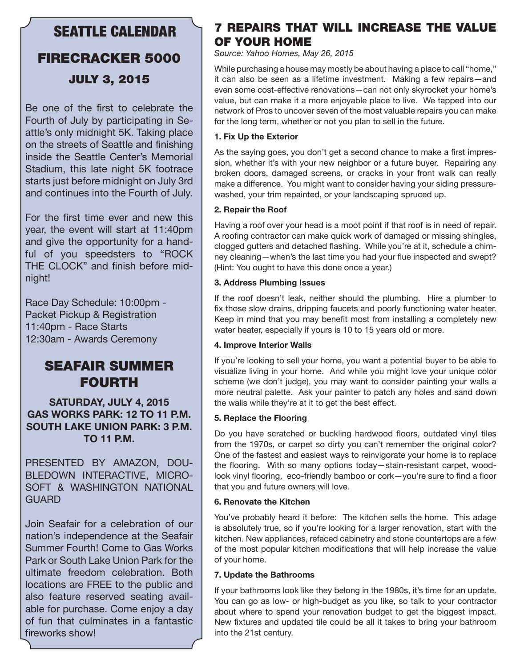### SEATTLE CALENDAR

# FIRECRACKER 5000 JULY 3, 2015

Be one of the first to celebrate the Fourth of July by participating in Seattle's only midnight 5K. Taking place on the streets of Seattle and finishing inside the Seattle Center's Memorial Stadium, this late night 5K footrace starts just before midnight on July 3rd and continues into the Fourth of July.

For the first time ever and new this year, the event will start at 11:40pm and give the opportunity for a handful of you speedsters to "ROCK THE CLOCK" and finish before midnight!

Race Day Schedule: 10:00pm - Packet Pickup & Registration 11:40pm - Race Starts 12:30am - Awards Ceremony

# SEAFAIR SUMMER FOURTH

**SATURDAY, JULY 4, 2015 GAS WORKS PARK: 12 TO 11 P.M. SOUTH LAKE UNION PARK: 3 P.M. TO 11 P.M.** 

PRESENTED BY AMAZON, DOU-BLEDOWN INTERACTIVE, MICRO-SOFT & WASHINGTON NATIONAL GUARD

Join Seafair for a celebration of our nation's independence at the Seafair Summer Fourth! Come to Gas Works Park or South Lake Union Park for the ultimate freedom celebration. Both locations are FREE to the public and also feature reserved seating available for purchase. Come enjoy a day of fun that culminates in a fantastic fireworks show!

### 7 REPAIRS THAT WILL INCREASE THE VALUE OF YOUR HOME

*Source: Yahoo Homes, May 26, 2015*

While purchasing a house may mostly be about having a place to call "home," it can also be seen as a lifetime investment. Making a few repairs—and even some cost-effective renovations—can not only skyrocket your home's value, but can make it a more enjoyable place to live. We tapped into our network of Pros to uncover seven of the most valuable repairs you can make for the long term, whether or not you plan to sell in the future.

### **1. Fix Up the Exterior**

As the saying goes, you don't get a second chance to make a first impression, whether it's with your new neighbor or a future buyer. Repairing any broken doors, damaged screens, or cracks in your front walk can really make a difference. You might want to consider having your siding pressurewashed, your trim repainted, or your landscaping spruced up.

### **2. Repair the Roof**

Having a roof over your head is a moot point if that roof is in need of repair. A roofing contractor can make quick work of damaged or missing shingles, clogged gutters and detached flashing. While you're at it, schedule a chimney cleaning—when's the last time you had your flue inspected and swept? (Hint: You ought to have this done once a year.)

### **3. Address Plumbing Issues**

If the roof doesn't leak, neither should the plumbing. Hire a plumber to fix those slow drains, dripping faucets and poorly functioning water heater. Keep in mind that you may benefit most from installing a completely new water heater, especially if yours is 10 to 15 years old or more.

### **4. Improve Interior Walls**

If you're looking to sell your home, you want a potential buyer to be able to visualize living in your home. And while you might love your unique color scheme (we don't judge), you may want to consider painting your walls a more neutral palette. Ask your painter to patch any holes and sand down the walls while they're at it to get the best effect.

### **5. Replace the Flooring**

Do you have scratched or buckling hardwood floors, outdated vinyl tiles from the 1970s, or carpet so dirty you can't remember the original color? One of the fastest and easiest ways to reinvigorate your home is to replace the flooring. With so many options today—stain-resistant carpet, woodlook vinyl flooring, eco-friendly bamboo or cork—you're sure to find a floor that you and future owners will love.

### **6. Renovate the Kitchen**

You've probably heard it before: The kitchen sells the home. This adage is absolutely true, so if you're looking for a larger renovation, start with the kitchen. New appliances, refaced cabinetry and stone countertops are a few of the most popular kitchen modifications that will help increase the value of your home.

### **7. Update the Bathrooms**

If your bathrooms look like they belong in the 1980s, it's time for an update. You can go as low- or high-budget as you like, so talk to your contractor about where to spend your renovation budget to get the biggest impact. New fixtures and updated tile could be all it takes to bring your bathroom into the 21st century.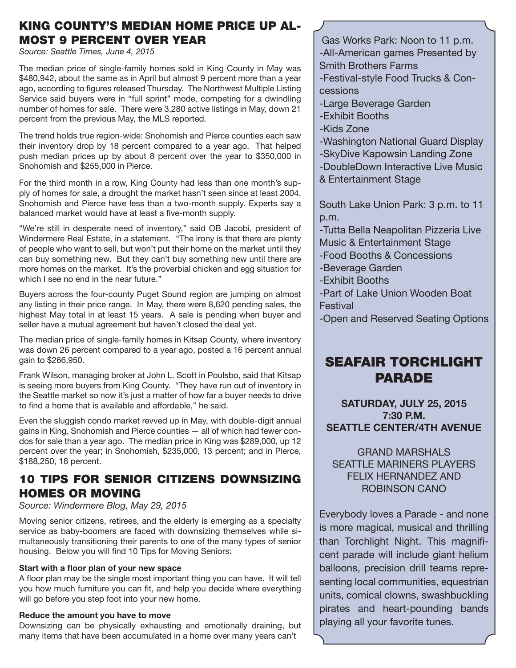### KING COUNTY'S MEDIAN HOME PRICE UP AL-MOST 9 PERCENT OVER YEAR

*Source: Seattle Times, June 4, 2015* 

The median price of single-family homes sold in King County in May was \$480,942, about the same as in April but almost 9 percent more than a year ago, according to figures released Thursday. The Northwest Multiple Listing Service said buyers were in "full sprint" mode, competing for a dwindling number of homes for sale. There were 3,280 active listings in May, down 21 percent from the previous May, the MLS reported.

The trend holds true region-wide: Snohomish and Pierce counties each saw their inventory drop by 18 percent compared to a year ago. That helped push median prices up by about 8 percent over the year to \$350,000 in Snohomish and \$255,000 in Pierce.

For the third month in a row, King County had less than one month's supply of homes for sale, a drought the market hasn't seen since at least 2004. Snohomish and Pierce have less than a two-month supply. Experts say a balanced market would have at least a five-month supply.

"We're still in desperate need of inventory," said OB Jacobi, president of Windermere Real Estate, in a statement. "The irony is that there are plenty of people who want to sell, but won't put their home on the market until they can buy something new. But they can't buy something new until there are more homes on the market. It's the proverbial chicken and egg situation for which I see no end in the near future."

Buyers across the four-county Puget Sound region are jumping on almost any listing in their price range. In May, there were 8,620 pending sales, the highest May total in at least 15 years. A sale is pending when buyer and seller have a mutual agreement but haven't closed the deal yet.

The median price of single-family homes in Kitsap County, where inventory was down 26 percent compared to a year ago, posted a 16 percent annual gain to \$266,950.

Frank Wilson, managing broker at John L. Scott in Poulsbo, said that Kitsap is seeing more buyers from King County. "They have run out of inventory in the Seattle market so now it's just a matter of how far a buyer needs to drive to find a home that is available and affordable," he said.

Even the sluggish condo market revved up in May, with double-digit annual gains in King, Snohomish and Pierce counties — all of which had fewer condos for sale than a year ago. The median price in King was \$289,000, up 12 percent over the year; in Snohomish, \$235,000, 13 percent; and in Pierce, \$188,250, 18 percent.

### 10 TIPS FOR SENIOR CITIZENS DOWNSIZING HOMES OR MOVING

*Source: Windermere Blog, May 29, 2015*

Moving senior citizens, retirees, and the elderly is emerging as a specialty service as baby-boomers are faced with downsizing themselves while simultaneously transitioning their parents to one of the many types of senior housing. Below you will find 10 Tips for Moving Seniors:

### **Start with a floor plan of your new space**

A floor plan may be the single most important thing you can have. It will tell you how much furniture you can fit, and help you decide where everything will go before you step foot into your new home.

### **Reduce the amount you have to move**

Downsizing can be physically exhausting and emotionally draining, but many items that have been accumulated in a home over many years can't

Gas Works Park: Noon to 11 p.m. -All-American games Presented by Smith Brothers Farms

-Festival-style Food Trucks & Concessions

- -Large Beverage Garden
- -Exhibit Booths
- -Kids Zone
- -Washington National Guard Display
- -SkyDive Kapowsin Landing Zone

-DoubleDown Interactive Live Music & Entertainment Stage

South Lake Union Park: 3 p.m. to 11 p.m.

-Tutta Bella Neapolitan Pizzeria Live Music & Entertainment Stage

-Food Booths & Concessions

-Beverage Garden

-Exhibit Booths

-Part of Lake Union Wooden Boat Festival

-Open and Reserved Seating Options

## SEAFAIR TORCHLIGHT PARADE

**SATURDAY, JULY 25, 2015 7:30 P.M. SEATTLE CENTER/4TH AVENUE**

GRAND MARSHALS SEATTLE MARINERS PLAYERS FELIX HERNANDEZ AND ROBINSON CANO

Everybody loves a Parade - and none is more magical, musical and thrilling than Torchlight Night. This magnificent parade will include giant helium balloons, precision drill teams representing local communities, equestrian units, comical clowns, swashbuckling pirates and heart-pounding bands playing all your favorite tunes.